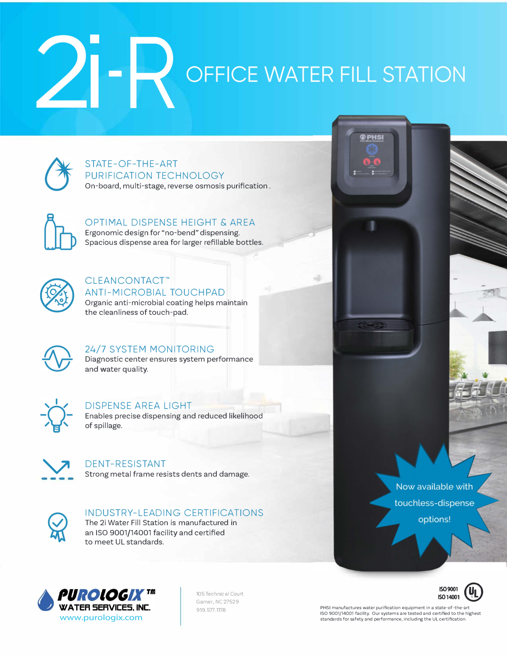# OFFICE WATER FILL STATION



#### STATE-OF-THE-ART PURIFICATION TECHNOLOGY

On-board, multi-stage, reverse osmosis purification.



#### OPTIMAL DISPENSE HEIGHT & AREA

Ergonomic design for "no-bend" dispensing. Spacious dispense area for larger refillable bottles.



#### CLEAN CONTACT™ ANTI-MICROBIAL TOUCHPAD

Organic anti-microbial coating helps maintain the cleanliness of touch-pad.



#### 24/7 SYSTEM MONITORING

Diagnostic center ensures system performance and water quality.



#### DISPENSE AREA LIGHT

Enables precise dispensing and reduced likelihood of spillage.



#### DENT-RESISTANT Strong metal frame resists dents and damage.



#### INDUSTRY-LEADING CERTIFICATIONS

The 2i Water Fill Station is manufactured in an ISO 9001/14001 facility and certified to meet UL standards.



105 Technical Court Garner, NC 27529 919.577.1178

Now available with touchless-dispense

options!



PHSI manufactures water purification equipment in a state-of-the-art ISO 9001/14001 facility. Our systems are tested and certified to the highest www.purologix.com standards for safety and performance, including the UL certification.

**OPHSI**